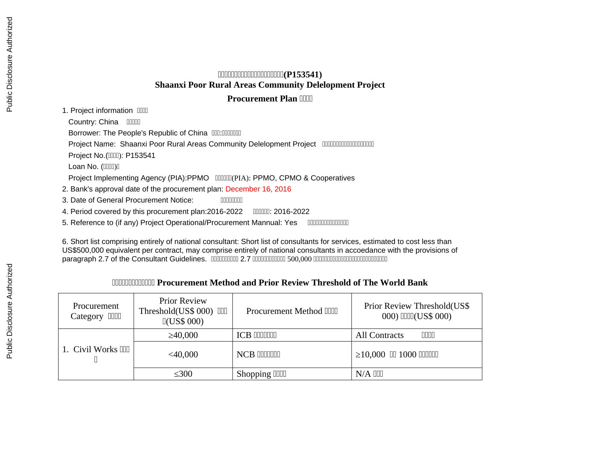## **世世世世世世世世世世世世世世世世世世世世(P153541) Shaanxi Poor Rural Areas Community Delelopment Project**

## **Procurement Plan [1111]**

1. Project information **IIII** 

Country: China **IIIII** 

Borrower: The People's Republic of China **COL**: COLOGICO

Project Name: Shaanxi Poor Rural Areas Community Delelopment Project 、、、、、、、、、、、、、、、、、、、

**Project No.(IIIII): P153541** 

Loan No. (IIIII)I

Project Implementing Agency (PIA):PPMO **COOLLA** (PIA): PPMO, CPMO & Cooperatives

2. Bank's approval date of the procurement plan: December 16, 2016

3. Date of General Procurement Notice: **ILLE ACCONGLIS** 

4. Period covered by this procurement plan:2016-2022 **COLO**: 2016-2022

5. Reference to (if any) Project Operational/Procurement Mannual: Yes 、、、、、、、、、、、、、、、

6. Short list comprising entirely of national consultant: Short list of consultants for services, estimated to cost less than US\$500,000 equivalent per contract, may comprise entirely of national consultants in accoedance with the provisions of paragraph 2.7 of the Consultant Guidelines. 、、、、、、、、、、 2.7 、、、、、、、、、、、、 500,000 、、、、、、、、、、、、、、、、、、、、、、、、、、、

## **THE THOUGHT THE PROCUTE THE METHOD AND PROVIDED THE WORLD BANK**

| <b>Procurement</b><br>$\Box$<br>Category | <b>Prior Review</b><br>Threshold(US\$ 000) OO<br>$\mathbb{I}(\text{US}\$~000)$ | <b>Procurement Method IIII</b> | Prior Review Threshold(US\$<br>000) IIIII(US\$ 000) |
|------------------------------------------|--------------------------------------------------------------------------------|--------------------------------|-----------------------------------------------------|
|                                          | $\geq 40,000$                                                                  | <b>ICB INNIER</b>              | 0000<br><b>All Contracts</b>                        |
| 1. Civil Works III                       | $<$ 40,000                                                                     | NCB IIIIIIIII                  | $\geq$ 10,000 00 1000 00000                         |
|                                          | $\leq 300$                                                                     | Shopping IIIII                 | $N/A$ $III$                                         |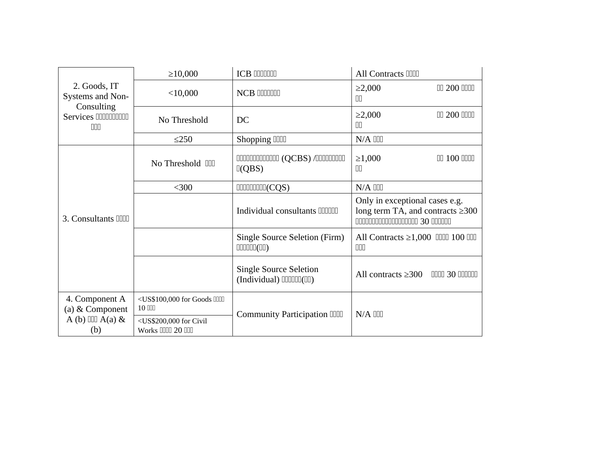|                                        | $\geq 10,000$                                                                                                              | <b>ICB INNINI</b>                                             | All Contracts IIII                                                       |
|----------------------------------------|----------------------------------------------------------------------------------------------------------------------------|---------------------------------------------------------------|--------------------------------------------------------------------------|
| 2. Goods, IT<br>Systems and Non-       | $<$ 10,000                                                                                                                 | <b>NCB IIIIIIII</b>                                           | <b>OD 200 0000</b><br>$\geq$ 2,000<br>$\Box$                             |
| Consulting<br>Services DDDDDDDD<br>000 | No Threshold                                                                                                               | DC                                                            | 00 200 0000<br>$\geq$ 2,000<br>ПN                                        |
|                                        | $\leq$ 250                                                                                                                 | Shopping IIII                                                 | $N/A$ $III$                                                              |
|                                        | No Threshold III                                                                                                           | 000000000000 (QCBS) /00000000<br>$\mathbb{I}(\text{QBS})$     | <b>OD 100 0000</b><br>≥1,000<br>ΠN                                       |
|                                        | $300$                                                                                                                      | <b>IIIIIIIIIIIII(CQS)</b>                                     | $N/A$ $111$                                                              |
| 3. Consultants IIII                    |                                                                                                                            | Individual consultants <b>IIIIIII</b>                         | Only in exceptional cases e.g.<br>long term TA, and contracts $\geq 300$ |
|                                        |                                                                                                                            | <b>Single Source Seletion (Firm)</b><br>$\text{1111111(111)}$ | All Contracts $\geq 1,000$ OOO 100 OOO<br>$\Box \Box \Box$               |
|                                        |                                                                                                                            | <b>Single Source Seletion</b><br>$(Individual)$ $[III][[]]$   | All contracts $\geq 300$<br>0000 30 00000                                |
| 4. Component A<br>(a) & Component      | <us\$100,000 for="" goods="" iiiii<br=""><math display="inline">10</math> <math display="inline">\Box</math></us\$100,000> | Community Participation DDD                                   | $N/A$ $III$                                                              |
| A (b) IIII $A(a)$ &<br>(b)             | <us\$200,000 civil<br="" for="">Works IIII 20 III</us\$200,000>                                                            |                                                               |                                                                          |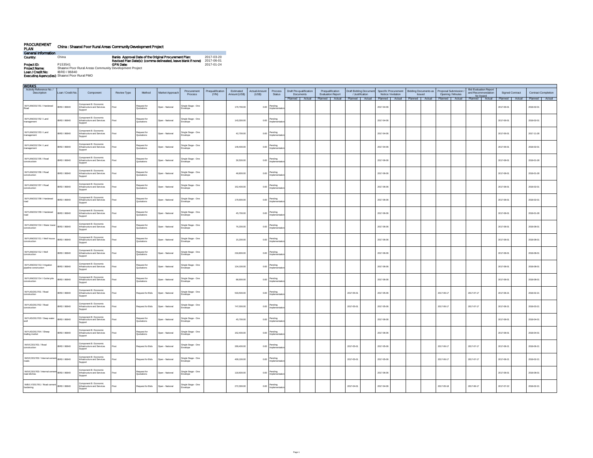| <b>PROCUREMENT</b><br><b>PLAN</b> |                                                        | China: Shaanxi Poor Rural Areas Community Development Project                                                          |                          |
|-----------------------------------|--------------------------------------------------------|------------------------------------------------------------------------------------------------------------------------|--------------------------|
| <b>General Information</b>        |                                                        |                                                                                                                        |                          |
| Country.                          | China                                                  | Banks Approval Date of the Original Procurement Plan:<br>Revised Plan Date(s): (comma delineated, leave blank if none) | 2017-03-20<br>2017-06-01 |
| Project ID:                       | P153541                                                | <b>GPN Date:</b>                                                                                                       | 2017-01-24               |
| <b>Project Name:</b>              | Shaanxi Poor Rural Areas Community Development Project |                                                                                                                        |                          |
| Loan / Credit No:                 | IBRD / 86840                                           |                                                                                                                        |                          |
|                                   | <b>Executing Agencyfles):</b> Shaanxi Poor Rural PMO   |                                                                                                                        |                          |

| <b>WORKS</b>                                          |                   |                                                                 |                    |                           |                 |                                |                           |                            |                               |                               |                                      |                  |                          |                 |                        |                                                                                                                                    |               |                                              |            |                   |                                                                 |                        |                  |                            |  |
|-------------------------------------------------------|-------------------|-----------------------------------------------------------------|--------------------|---------------------------|-----------------|--------------------------------|---------------------------|----------------------------|-------------------------------|-------------------------------|--------------------------------------|------------------|--------------------------|-----------------|------------------------|------------------------------------------------------------------------------------------------------------------------------------|---------------|----------------------------------------------|------------|-------------------|-----------------------------------------------------------------|------------------------|------------------|----------------------------|--|
| Activity Reference No./<br>Description                | Loan / Credit No. | Component                                                       | <b>Review Type</b> | Method                    | Market Approach | Procurement<br>Process         | Prequalification<br>(Y/N) | Estimated<br>Amount (US\$) | <b>Actual Amount</b><br>(USS) | Process<br>Status             | Draft Pre-qualification<br>Documents | Prequalification | <b>Evaluation Report</b> | / Justification | Draft Bidding Document | Specific Procurement<br>Notice / Invitation                                                                                        | <b>Issued</b> | Bidding Documents as   Proposal Submission / |            | Opening / Minutes | <b>Bid Evaluation Report</b><br>and Recommendation<br>for Award | <b>Signed Contract</b> |                  | <b>Contract Completion</b> |  |
|                                                       |                   |                                                                 |                    |                           |                 |                                |                           |                            |                               |                               |                                      |                  |                          |                 |                        | Planned   Actual   Planned   Actual   Planned   Actual   Planned   Actual   Planned   Actual   Planned   Actual   Planned   Actual |               |                                              |            |                   |                                                                 |                        | Planned   Actual | Planned Actual             |  |
| W/YU/M/2017/01 / Hardened<br>Road                     | IBRD / 86840      | Component B: Economic<br>Infrastructure and Services<br>Support | <b>ost</b>         | Request for<br>Quotations | Open - National | Single Stage - One<br>Envelope |                           | 170,700.00                 | 0.00                          | Pending<br>Implementat        |                                      |                  |                          |                 |                        | 2017-04-06                                                                                                                         |               |                                              |            |                   |                                                                 | 2017-06-01             |                  | 2018-02-01                 |  |
| W/YU/M/2017/02 / Land<br>management                   | IBRD / 86840      | Component B: Economic<br>Infrastructure and Services<br>Support | ost                | Request for<br>Quotations | Open - National | Single Stage - One<br>invelope |                           | 143,300.00                 |                               | 0.00 Pending<br>mplementa     |                                      |                  |                          |                 |                        | 2017-04-06                                                                                                                         |               |                                              |            |                   |                                                                 | 2017-06-01             |                  | 2018-02-01                 |  |
| W/YU/M/2017/03 / Land<br>management                   | IBRD / 86840      | Component B: Economic<br>Infrastructure and Services<br>Support |                    | Request for<br>Quotations | Open - National | šingle Stage - One<br>nvelope  |                           | 42,700.00                  |                               | 0.00 Pending                  |                                      |                  |                          |                 |                        | 2017-04-06                                                                                                                         |               |                                              |            |                   |                                                                 | 2017-06-01             |                  | 2017-11-28                 |  |
| W/YU/M/2017/04 / Land<br>management                   | IBRD / 86840      | Component B: Economic<br>Infrastructure and Services<br>Support | Post               | Request for<br>Quotations | Open - National | Single Stage - One<br>invelope |                           | 149,400.00                 | 0.00                          | Pending<br>mplementa          |                                      |                  |                          |                 |                        | 2017-04-06                                                                                                                         |               |                                              |            |                   |                                                                 | 2017-06-01             |                  | 2018-02-01                 |  |
| W/YU/M/2017/05 / Road<br>constructioin                | IBRD / 86840      | Component B: Economic<br>Infrastructure and Services<br>Support | ost                | Request for<br>Quotations | Open - National | šingle Stage - One<br>nvelope  |                           | 30,500.00                  |                               | 0.00 Pending<br>Implementa    |                                      |                  |                          |                 |                        | 2017-06-06                                                                                                                         |               |                                              |            |                   |                                                                 | 2017-08-01             |                  | 2018-01-28                 |  |
| W/YU/M/2017/06 / Road<br>construction                 | IBRD / 86840      | Component B: Economic<br>Infrastructure and Services<br>Support | ost                | Request for<br>Quotations | Open - National | Single Stage - One<br>Envelope |                           | 48,800.00                  |                               | $0.00$ Pending<br>nplementa   |                                      |                  |                          |                 |                        | 2017-06-06                                                                                                                         |               |                                              |            |                   |                                                                 | 2017-08-01             |                  | 2018-01-28                 |  |
| W/YU/M/2017/07 / Road<br>construction                 | IBRD / 86840      | Component B: Economic<br>Infrastructure and Services<br>Support |                    | Request for<br>Quotations | Open - National | Single Stage - One<br>invelope |                           | 152,400.00                 |                               | 0.00 Pending<br>Implementat   |                                      |                  |                          |                 |                        | 2017-06-06                                                                                                                         |               |                                              |            |                   |                                                                 | 2017-08-01             |                  | 2018-02-01                 |  |
| W/YU/M/2017/08 / Hardened                             | IBRD / 86840      | Component B: Economic<br>Infrastructure and Services<br>Support | Post               | Request for<br>quotations | Open - National | Single Stage - One<br>Envelope |                           | 179,900.00                 | 0.00                          | Pending                       |                                      |                  |                          |                 |                        | 2017-06-06                                                                                                                         |               |                                              |            |                   |                                                                 | 2017-08-01             |                  | 2018-02-01                 |  |
| W/YU/M/2017/09 / Hardened<br>road                     | IBRD / 86840      | Component B: Economic<br>Infrastructure and Services<br>Support |                    | cequest for<br>Quotations | Open - National | Single Stage - One<br>nvelope  |                           | 45,700.00                  |                               | $0.00$ Pending<br>Implementat |                                      |                  |                          |                 |                        | 2017-06-06                                                                                                                         |               |                                              |            |                   |                                                                 | 2017-08-01             |                  | 2018-01-28                 |  |
| W/YU/M/2017/10 / Water tower<br>construction          | IBRD / 86840      | Component B: Economic<br>Infrastructure and Services<br>Support | Post               | Request for<br>Quotations | Open - National | Single Stage - One<br>Envelope |                           | 76,200.00                  |                               | $0.00$ Pending<br>nplementa   |                                      |                  |                          |                 |                        | 2017-06-06                                                                                                                         |               |                                              |            |                   |                                                                 | 2017-08-01             |                  | 2018-08-01                 |  |
| W/YU/M/2017/11 / Well house<br>construction           | IBRD / 86840      | Component B: Economic<br>Infrastructure and Services<br>Support |                    | cequest for<br>Quotations | Open - National | Single Stage - One<br>mvelope  |                           | 15,200.00                  | 0.00                          | Pending<br>mplementa          |                                      |                  |                          |                 |                        | 2017-06-06                                                                                                                         |               |                                              |            |                   |                                                                 | 2017-08-01             |                  | 2018-08-01                 |  |
| W/YU/M/2017/12 / Well<br>construction                 | IRRD / RRR40      | Component B: Economic<br>Infrastructure and Services<br>Support | hen                | Request for<br>Quotations | Open - National | Single Stage - One<br>nvelope  |                           | 218,800.00                 | 0.00                          | Pending<br>mplement           |                                      |                  |                          |                 |                        | 2017-06-06                                                                                                                         |               |                                              |            |                   |                                                                 | 2017-08-01             |                  | 2018-08-01                 |  |
| W/YU/M/2017/13 / Irrigation<br>pipeline construction  | IBRD / 86840      | Component B: Economic<br>Infrastructure and Services<br>Support | ost                | Request for<br>Quotations | Open - National | Single Stage - One<br>invelope |                           | 134,100.00                 |                               | $0.00$ Pending<br>mplemen     |                                      |                  |                          |                 |                        | 2017-06-06                                                                                                                         |               |                                              |            |                   |                                                                 | 2017-08-01             |                  | 2018-08-01                 |  |
| W/YU/M/2017/14 / Outlet pile<br>construction          | IRRD / RRR40      | Component B: Economic<br>Infrastructure and Services<br>Support | ost                | Request for<br>Quotations | Open - National | Single Stage - One<br>nvelope  |                           | 88,900.00                  | 0.00                          | Pending<br>mplement           |                                      |                  |                          |                 |                        | 2017-06-06                                                                                                                         |               |                                              |            |                   |                                                                 | 2017-08-01             |                  | 2018-08-01                 |  |
| W/YU/D/2017/01 / Road<br>construction                 | IBRD / 86840      | Component B: Economic<br>Infrastructure and Services<br>Support | ost                | Request for Bids          | Open - National | Single Stage - One<br>Envelope |                           | 533,500.00                 |                               | 0.00 Pending                  |                                      |                  |                          | 2017-05-01      |                        | 2017-05-06                                                                                                                         |               |                                              | 2017-06-17 |                   | 2017-07-17                                                      | 2017-08-21             |                  | 2018-02-21                 |  |
| W/YU/D/2017/02 / Road<br>construction                 | IBRD / 86840      | Component B: Economic<br>Infrastructure and Services<br>Support | ten <sup>c</sup>   | Request for Bids          | Open - National | Single Stage - One<br>rvelope  |                           | 747,000.00                 | 0.00                          | Pending                       |                                      |                  |                          | 2017-05-01      |                        | 2017-05-08                                                                                                                         |               |                                              | 2017-08-17 |                   | 2017-07-17                                                      | 2017-08-21             |                  | 2018-03-21                 |  |
| W/YU/D/2017/03 / Deep water                           | IBRD / 86840      | Component B: Economic<br>Infrastructure and Services<br>Support |                    | equest for<br>Quotations  | Open - National | Single Stage - One<br>invelope |                           | 45,700.00                  | 0.00                          | Pending<br>mplement           |                                      |                  |                          |                 |                        | 2017-06-06                                                                                                                         |               |                                              |            |                   |                                                                 | 2017-08-01             |                  | 2018-04-01                 |  |
| W/YU/D/2017/04 / Sheep<br>trading market              | IBRD / 86840      | Component B: Economic<br>Infrastructure and Services<br>Support | ost                | Request for<br>Quotations | Open - National | Single Stage - One<br>mvelope  |                           | 152,400.00                 | 0.00                          | Pending<br>nnlem              |                                      |                  |                          |                 |                        | 2017-06-06                                                                                                                         |               |                                              |            |                   |                                                                 | 2017-08-01             |                  | 2018-04-01                 |  |
| W/X/C/2017/01 / Road<br>construction                  | IBRD / 86840      | Component B: Economic<br>Infrastructure and Services<br>Support |                    | Request for Bids          | Doen - National | Single Stage - One<br>Envelope |                           | 269,400.00                 |                               | $0.00$ Pending<br>noleme      |                                      |                  |                          | 2017-05-01      |                        | 2017-05-06                                                                                                                         |               |                                              | 2017-06-17 |                   | 2017-07-17                                                      | 2017-08-21             |                  | 2018-06-21                 |  |
| W/X/C/2017/02 / Internal cement<br>roads              | IBRD / 86840      | Component B: Economic<br>Infrastructure and Services<br>Support |                    | Request for Bids          | Open - National | Single Stage - One<br>nvelope  |                           | 409,100.00                 |                               | $0.00$ Pending                |                                      |                  |                          | 2017-05-01      |                        | 2017-05-06                                                                                                                         |               |                                              | 2017-06-17 |                   | 2017-07-17                                                      | 2017-08-21             |                  | 2018-02-21                 |  |
| W/X/C/2017/03 / Internal cemen<br>road ditches        | IBRD / 86840      | Component B: Economic<br>Infrastructure and Services<br>Support | ost                | Request for<br>Quotations | Open - National | Single Stage - One<br>Envelope |                           | 118,600.00                 | 0.00                          | Pending<br>nplement           |                                      |                  |                          |                 |                        | 2017-06-06                                                                                                                         |               |                                              |            |                   |                                                                 | 2017-08-01             |                  | 2018-08-01                 |  |
| W/B/LY/2017/01 / Road cement BRD / 86840<br>hardening |                   | Component B: Economic<br>Infrastructure and Services<br>Support | ost                | Request for Bids          | Open - National | Single Stage - One<br>nvelope  |                           | 272,300.00                 | 0.00                          | Pending<br>Implementa         |                                      |                  |                          | 2017-04-01      |                        | 2017-04-06                                                                                                                         |               |                                              | 2017-05-18 |                   | 2017-06-17                                                      | 2017-07-22             |                  | 2018-02-21                 |  |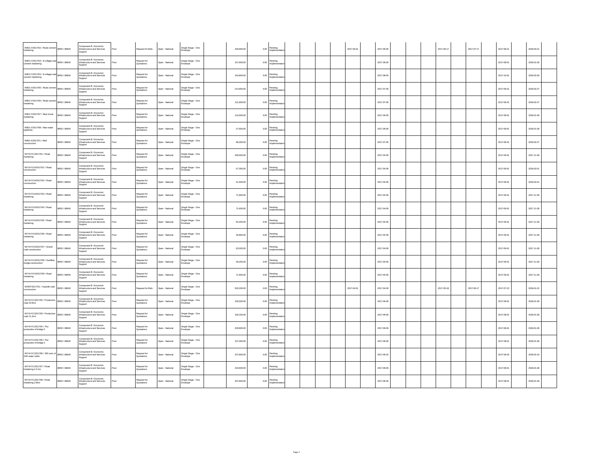| W/B/LY/2017/02 / Road cement   IBRD / 86840<br>hardening         |              | Component B: Economic<br>Infrastructure and Services            | 'ost                    | Request for Bids          | Open - National | Single Stage - One<br>Envelope | 429,900.00 | 0.00 Pending                  |  |  | 2017-05-01 | 2017-05-08 |  | 2017-06-17 | 2017-07-17 | 2017-08-21 | 2018-03-21 |
|------------------------------------------------------------------|--------------|-----------------------------------------------------------------|-------------------------|---------------------------|-----------------|--------------------------------|------------|-------------------------------|--|--|------------|------------|--|------------|------------|------------|------------|
|                                                                  |              | Support<br>Component B: Economic<br>Infrastructure and Services |                         | Request for               |                 |                                |            |                               |  |  |            |            |  |            |            |            |            |
| W/B/LY/2017/03 / In-village road BRD / 86840<br>cement hardening |              | Support                                                         | Post                    | Quotations                | Open - National | Single Stage - One<br>Envelope | 157,600.00 | 0.00 Pending<br>Implements    |  |  |            | 2017-06-06 |  |            |            | 2017-08-01 | 2018-01-28 |
| W/B/LY/2017/04 / In-village road BRD / 86840<br>cement hardening |              | Component B: Economic<br>Infrastructure and Services<br>Support | Post                    | Request for<br>Quotations | Open - National | Single Stage - One<br>nvelope  | 164,800.00 | Pending<br>Implementa<br>0.00 |  |  |            | 2017-08-06 |  |            |            | 2017-10-01 | 2018-03-30 |
| W/B/LY/2017/05 / Road cement   BRD / 86840<br>hardening          |              | Component B: Economic<br>Infrastructure and Services<br>Support | Post                    | Request for<br>Quotations | Open - National | Single Stage - One<br>invelope | 214,900.00 | Pending<br>0.00<br>Implement  |  |  |            | 2017-07-08 |  |            |            | 2017-08-31 | 2018-02-27 |
| W/B/LY/2017/06 / Road cemer<br>hardening                         | IBRD / 86840 | Component B: Economic<br>Infrastructure and Services<br>Support | <b>b</b> o <sup>t</sup> | Request for<br>Quotations | Open - National | Single Stage - One<br>Envelope | 121,800.00 | 0.00 Pending                  |  |  |            | 2017-07-08 |  |            |            | 2017-08-31 | 2018-02-27 |
| W/B/LY/2017/07 / Mud stone<br>hardening                          | IBRD / 86840 | Component B: Economic<br>Infrastructure and Services<br>Support | Post                    | Request for<br>Quotations | Open - National | Single Stage - One<br>nvelope  | 110,900.00 | $0.00$ Pending                |  |  |            | 2017-06-06 |  |            |            | 2017-08-01 | 2018-01-28 |
| W/B/LY/2017/08 / New water<br>pipelines                          | IBRD / 86840 | Component B: Economic<br>Infrastructure and Services<br>Support | ost                     | Request for<br>Quotations | Open - National | lingle Stage - One<br>welope   | 27,600.00  | 0.00 Pending                  |  |  |            | 2017-06-06 |  |            |            | 2017-08-01 | 2018-01-28 |
| W/B/LX/2017/01 / Well<br>construction                            | IBRD / 86840 | Component B: Economic<br>Infrastructure and Services<br>Support | Post                    | Request for<br>Quotations | Open - National | Single Stage - One<br>invelope | 88,300.00  | Pending<br>0.00<br>Implem     |  |  |            | 2017-07-06 |  |            |            | 2017-08-31 | 2018-02-27 |
| W/YA/YC/2017/01 / Road<br>hardening                              | IBRD / 86840 | Component B: Economic<br>Infrastructure and Services<br>Support | ost                     | Request for<br>Quotations | Open - National | Single Stage - One<br>nvelope  | 200,600.00 | Pending<br>Implementa<br>0.00 |  |  |            | 2017-04-06 |  |            |            | 2017-06-01 | 2017-11-28 |
| W/YA/YCH/2017/01 / Road<br>construction                          | IBRD / 86840 | Component B: Economic<br>Infrastructure and Services<br>Support | Post                    | Request for<br>Quotations | Open - National | Single Stage - One<br>Envelope | 57,300.00  | Pending<br>Implemer<br>0.00   |  |  |            | 2017-04-06 |  |            |            | 2017-06-01 | 2018-02-01 |
| W/YA/YCH/2017/02 / Road<br>construction                          | IBRD / 86840 | Component B: Economic<br>Infrastructure and Services<br>Support | Post                    | Request for<br>Quotations | Open - National | Single Stage - One<br>nvelope  | 51,600.00  | Pending<br>Implementa<br>0.00 |  |  |            | 2017-04-06 |  |            |            | 2017-06-01 | 2018-02-01 |
| W/YA/YCH/2017/03 / Road<br>hardening                             | IBRD / 86840 | Component B: Economic<br>Infrastructure and Services<br>Support | Post                    | Request for<br>Quotations | Open - National | Single Stage - One<br>Envelope | 71,600.00  | 0.00 Pending                  |  |  |            | 2017-04-06 |  |            |            | 2017-06-01 | 2017-11-28 |
| W/YA/YCH/2017/04 / Road<br>hardening                             | IBRD / 86840 | Component B: Economic<br>Infrastructure and Services<br>Support | <b>b</b> o <sup>t</sup> | Request for<br>Quotations | Open - National | Single Stage - One<br>nvelope  | 71,600.00  | 0.00 Pending<br>Implementa    |  |  |            | 2017-04-06 |  |            |            | 2017-06-01 | 2017-11-28 |
| W/YA/YCH/2017/05 / Road<br>hardening                             | IBRD / 86840 | Component B: Economic<br>Infrastructure and Services<br>Support | Post                    | Request for<br>Quotations | Open - National | Single Stage - One<br>nvelope  | 50,200.00  | $0.00$ Pending<br>Impleme     |  |  |            | 2017-04-06 |  |            |            | 2017-06-01 | 2017-11-28 |
| W/YA/YCH/2017/06 / Road<br>hardening                             | IBRD / 86840 | Component B: Economic<br>Infrastructure and Services<br>Support | ost                     | Request for<br>Quotations | Open - National | ingle Stage - One<br>welope    | 35,800.00  | 0.00 Pending                  |  |  |            | 2017-04-06 |  |            |            | 2017-06-01 | 2017-11-28 |
| W/YA/YCH/2017/07 / Gravel<br>road construction                   | IBRD / 86840 | Component B: Economic<br>Infrastructure and Services<br>Support | Post                    | Request for<br>Quotations | Open - National | Single Stage - One<br>nvelope  | 63,000.00  | $0.00$ Pending                |  |  |            | 2017-04-06 |  |            |            | 2017-06-01 | 2017-11-28 |
| W/YA/YCH/2017/08 / Overflow<br>bridge construction               | IBRD / 86840 | Component B: Economic<br>Infrastructure and Services<br>Support | ost                     | Request for<br>Quotations | Open - National | Single Stage - One<br>Envelope | 48,200.00  | 0.00 Pending<br>Implementa    |  |  |            | 2017-04-06 |  |            |            | 2017-06-01 | 2017-11-28 |
| W/YA/YCH/2017/09 / Road<br>hardening                             | IRRD / A6840 | Component B: Economic<br>Infrastructure and Services<br>Support | <b>b</b> o <sup>t</sup> | Request for<br>Quotations | Open - National | Single Stage - One<br>Envelope | 71,600.00  | Pending<br>Implemer<br>0.00   |  |  |            | 2017-04-08 |  |            |            | 2017-06-01 | 2017-11-28 |
| W/W/F/2017/01 / Asphalt road<br>construction                     | IBRD / 86840 | Component B: Economic<br>Infrastructure and Services<br>Support | Post                    | Request for Bids          | Open - Nationa  | ingle Stage - One<br>nvelope   | 520,200.00 | Pending<br>Implements<br>0.00 |  |  | 2017-04-01 | 2017-04-06 |  | 2017-05-18 | 2017-06-17 | 2017-07-22 | 2018-01-22 |
| W/YA/YC/2017/02 / Production<br>road 10.5km                      | IRRD / ARR40 | Component B: Economic<br>Infrastructure and Services<br>Support | Post                    | Request for<br>Quotations | Open - National | Single Stage - One<br>Envelope | 150,500.00 | $0.00$ Pending<br>Impleme     |  |  |            | 2017-06-06 |  |            |            | 2017-08-01 | 2018-01-28 |
| W/YA/YC/2017/03 / Production<br>road 11.1km                      | IBRD / 86840 | Component B: Economic<br>Infrastructure and Services<br>Support | <b>b</b> o <sup>t</sup> | Request for<br>Quotations | Open - National | Single Stage - One<br>nvelope  | 159,100.00 | Pending<br>0.00<br>Implement  |  |  |            | 2017-06-06 |  |            |            | 2017-08-01 | 2018-01-28 |
| W/YA/YC/2017/04 / The<br>production of bridge 5                  | IBRD / 86840 | Component B: Economic<br>Infrastructure and Services<br>Support | Post                    | Request for<br>Quotations | Open - National | Single Stage - One<br>Envelope | 228,800.00 | 0.00 Pending                  |  |  |            | 2017-06-06 |  |            |            | 2017-08-01 | 2018-01-28 |
| W/YA/YC/2017/05 / The<br>production of bridge 3                  | IBRD / 86840 | Component B: Economic<br>Infrastructure and Services<br>Support | <b>b</b> o <sup>t</sup> | Request for<br>Quotations | Open - National | ingle Stage - One<br>tvelope   | 137,300.00 | 0.00 Pending                  |  |  |            | 2017-06-06 |  |            |            | 2017-08-01 | 2018-01-28 |
| W/YA/YC/2017/06 / 300 sets of BRD / 86840<br>Soft water cellar   |              | Component B: Economic<br>Infrastructure and Services<br>Support | Post                    | Request for<br>Quotations | Open - National | Single Stage - One<br>Envelope | 237,800.00 | Pending<br>0.00               |  |  |            | 2017-08-25 |  |            |            | 2017-08-20 | 2018-02-16 |
| W/YA/YC/2017/07 / Road<br>hardening 3.4 km                       | IBRD / 86840 | Component B: Economic<br>Infrastructure and Services<br>Support | ost                     | Request for<br>Quotations | Open - National | Single Stage - One<br>Envelope | 243,600.00 | 0.00 Pending<br>Implementa    |  |  |            | 2017-06-06 |  |            |            | 2017-08-01 | 2018-01-28 |
| W/YA/YC/2017/08 / Road<br>hardening 2.9km                        | IBRD / 86840 | Component B: Economic<br>Infrastructure and Services            | ost                     | Request for<br>Quotations | Open - National | Single Stage - One<br>velope   | 207.800.00 | $0.00$ Pending<br>Implements  |  |  |            | 2017-06-06 |  |            |            | 2017-08-01 | 2018-01-28 |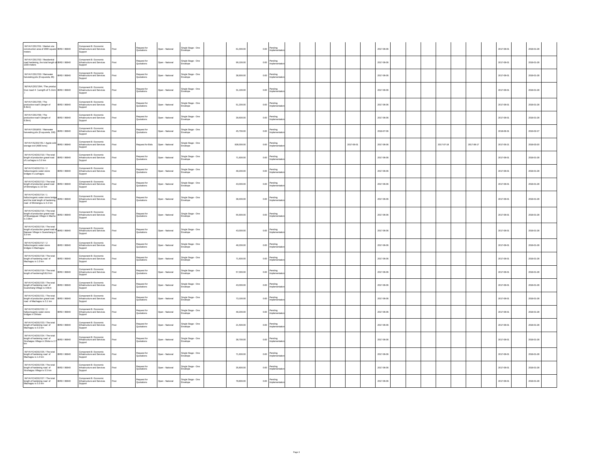| W/YA/Y/2017/01 / Market site<br>construction area of 2000 square BRD / 86840<br>meters                                                                      |              | Component B: Economic<br>Infrastructure and Services<br>Support | <sup>t</sup> ost        | Request for<br>Quotations | Open - National | Single Stage - One<br>Envelope | 61,000.00  |            | 0.00 Pending<br>Implementa     |  |            | 2017-06-06 |  |            |            | 2017-08-01 | 2018-01-28 |
|-------------------------------------------------------------------------------------------------------------------------------------------------------------|--------------|-----------------------------------------------------------------|-------------------------|---------------------------|-----------------|--------------------------------|------------|------------|--------------------------------|--|------------|------------|--|------------|------------|------------|------------|
| W/YA/Y/2017/02 / Residential<br>road hardening, the total length of IBRD / 86840<br>1300 meters                                                             |              | Component B: Economic<br>Infrastructure and Services<br>Support | Post                    | Request for<br>Quotations | Open - National | Single Stage - One<br>Envelope | 99.100.00  | 0.00       | Pending<br>Implemer            |  |            | 2017-06-06 |  |            |            | 2017-08-01 | 2018-01-28 |
| W/YA/Y/2017/03 / Rainwater<br>harvesting pits (8 square/a, 85)                                                                                              | IBRD / 86840 | Component B: Economic<br>Infrastructure and Services<br>Support | ost                     | Request for<br>Quotations | Open - National | Single Stage - One<br>Envelope | 38,900.00  | $_{0.00\,$ | Pending<br>mplementa           |  |            | 2017-06-06 |  |            |            | 2017-08-01 | 2018-01-28 |
| W/YA/Y/2017/04 / The produc<br>tive road 4 (Length of 5.1km BRD / 86840                                                                                     |              | Component B: Economic<br>Infrastructure and Services<br>Support | Post                    | Request for<br>Quotations | Open - National | Single Stage - One<br>Envelope | 31,100.00  |            | 0.00 Pending                   |  |            | 2017-06-06 |  |            |            | 2017-08-01 | 2018-01-28 |
| W/YA/Y/2017/05 / The<br>productive road 5 (length of<br>8.4km)                                                                                              | IBRD / 86840 | Component B: Economic<br>Infrastructure and Services<br>Support | 'ost                    | Request for<br>Quotations | Open - National | Single Stage - One<br>Envelope | 51,200.00  | 0.00       | Pending<br>mplementa           |  |            | 2017-06-06 |  |            |            | 2017-08-01 | 2018-01-28 |
| W/YA/Y/2017/06 / The<br>productive road 4 (length of<br>6.5km)                                                                                              | IBRD / 86840 | Component B: Economic<br>Infrastructure and Services<br>Support | ost                     | Request for<br>Quotations | Open - National | Single Stage - One<br>Envelope | 39,600.00  | 0.00       | Pending<br>Implemer            |  |            | 2017-06-06 |  |            |            | 2017-08-01 | 2018-01-28 |
| W/YA/Y/2018/01 / Rainwate<br>harvesting pits (8 square/a, 100)                                                                                              | IBRD / 86840 | Component B: Economic<br>Infrastructure and Services<br>Support | ost                     | Request for<br>Quotations | Open - National | Single Stage - One<br>Envelope | 45,700.00  | 0.00       | Pending<br>mplementa           |  |            | 2018-07-06 |  |            |            | 2018-08-31 | 2019-02-27 |
| W/YA/Y/G/2017/01 / Apple cold BRD / 86840<br>storage civil (4000 tons)                                                                                      |              | Component B: Economic<br>Infrastructure and Services<br>Support | Post                    | Request for Bids          | Open - National | Single Stage - One<br>Envelope | 828,000.00 | 0.00       | Pending<br>nnlemi              |  | 2017-06-01 | 2017-06-06 |  | 2017-07-18 | 2017-08-17 | 2017-09-21 | 2018-03-20 |
| W/YA/YCH/2017/10 / The tota<br>length of production gravel road<br>of Liuchagou is 5.0 km                                                                   | IBRD / 86840 | Component B: Economic<br>Infrastructure and Services<br>Support | ost                     | Request for<br>Quotations | Open - National | Single Stage - One<br>Envelope | 71,600.00  |            | 0.00 Pending<br>Implementa     |  |            | 2017-06-06 |  |            |            | 2017-08-01 | 2018-01-28 |
| W/YA/YCH/2017/11 / 2<br>hallucinogenic water stone<br>bridges in Liuchagou                                                                                  | IBRD / 86840 | Component B: Economic<br>Infrastructure and Services<br>Support | Post                    | Request for<br>Quotations | Open - National | Single Stage - One<br>nvelope  | 48,200.00  | 0.00       | Pending                        |  |            | 2017-06-06 |  |            |            | 2017-08-01 | 2018-01-28 |
| W/YA/YCH/2017/13 / The total<br>length of production gravel road<br>of Shimengou is 3.0 km                                                                  | IBRD / 86840 | Component B: Economic<br>Infrastructure and Services<br>Support | Post                    | Request for<br>Quotations | Open - National | Single Stage - One<br>Envelope | 43,000.00  |            | 0.00 Pending                   |  |            | 2017-06-06 |  |            |            | 2017-08-01 | 2018-01-28 |
| W/YA/YCH/2017/14 / 1<br>hallucinogenic water stone bridge $\overline{\text{IBRD}}$ / 86840 and the total length of hardening<br>road of Shimengou is 0.2 km |              | Component B: Economic<br>Infrastructure and Services<br>Support | Post                    | Request for<br>Quotations | Open - National | Single Stage - One<br>Envelope | 38,400.00  |            | 0.00 Pending                   |  |            | 2017-06-06 |  |            |            | 2017-08-01 | 2018-01-28 |
| W/YA/YCH/2017/15 / The total<br>length of production gravel road<br>of Shuangquan Villege in Macha<br>is 3.9km                                              | BRD / 86840  | Component B: Economic<br>Infrastructure and Services<br>Support | Post                    | Request for<br>Quotations | Open - National | Single Stage - One<br>Envelope | 55,900.00  |            | 0.00 Pending                   |  |            | 2017-06-06 |  |            |            | 2017-08-01 | 2018-01-28 |
| W/YA/YCH/2017/16 / The tota<br>length of production gravel road of IBRD / 86840<br>Nanwan Villege in Guanshang is<br>3.0 km                                 |              | Component B: Economic<br>Infrastructure and Services<br>Support | Post                    | Request for<br>Quotations | Open - National | Single Stage - One<br>Envelope | 43,000.00  |            | $0.00$ Pending<br>mplementa    |  |            | 2017-06-06 |  |            |            | 2017-08-01 | 2018-01-28 |
| W/YA/YCH/2017/17 / 2<br>hallucinogenic water stone<br>bridges in Machagou                                                                                   | IBRD / 86840 | Component B: Economic<br>Infrastructure and Services<br>Support | ost                     | Request for<br>Quotations | Open - National | Single Stage - One<br>Envelope | 48,200.00  |            | 0.00 Pending                   |  |            | 2017-06-06 |  |            |            | 2017-08-0  | 2018-01-28 |
| W/YA/YCH/2017/18 / The total<br>length of hardening road of<br>Machagou is 1.0 km                                                                           | BRD / 86840  | Component B: Economic<br>Infrastructure and Services<br>Support | Post                    | Request for<br>Quotations | Open - National | Single Stage - One<br>Envelope | 71,600.00  |            | $0.00$ Pending                 |  |            | 2017-06-06 |  |            |            | 2017-08-01 | 2018-01-28 |
| W/YA/YCH/2017/19 / The total<br>length of hardening 0.81.0 km                                                                                               | IBRD / 86840 | Component B: Economic<br>Infrastructure and Services<br>Support | Post                    | Request for<br>Quotations | Open - National | Single Stage - One<br>Envelope | 57,300.00  | 0.00       | Pending<br>nplementa           |  |            | 2017-06-06 |  |            |            | 2017-08-01 | 2018-01-28 |
| W/YA/YCH/2017/20 / The total<br>length of hardening road of<br>Guanshang Villege is 0.6km                                                                   | IBRD / 86840 | Component B: Economic<br>Infrastructure and Services<br>Support | Post                    | Request for<br>Quotations | Open - National | Single Stage - One<br>Envelope | 43,000.00  | 0.00       | Pending<br>Implemer            |  |            | 2017-06-06 |  |            |            | 2017-08-01 | 2018-01-28 |
| W/YA/YCH/2017/21 / The total<br>length of production gravel road<br>road of Machagou is 5.1 km                                                              | IBRD / 86840 | Component B: Economic<br>Infrastructure and Services<br>Support | <sup>t</sup> ost        | Request for<br>Quotations | Open - National | Single Stage - One<br>invelope | 73,100.00  | 0.00       | Pending<br>Implementa          |  |            | 2017-06-06 |  |            |            | 2017-08-01 | 2018-01-28 |
| W/YA/YCH/2017/22 / 2<br>hallucinogenic water stone<br>bridges in Shitaisi                                                                                   | IBRD / 86840 | Component B: Economic<br>Infrastructure and Services<br>Support | ost                     | Request for<br>Quotations | Open - National | Single Stage - One<br>Envelope | 48,200.00  | 0.00       | Pending<br>mplemen             |  |            | 2017-06-06 |  |            |            | 2017-08-01 | 2018-01-28 |
| W/YA/YCH/2017/23 / The total<br>length of hardening road of<br>Machagou is 0.3 km                                                                           | IBRD / 86840 | Component B: Economic<br>Infrastructure and Services<br>Support | Post                    | Request for<br>Quotations | Open - National | Single Stage - One<br>Envelope | 21,500.00  | 0.00       | Pending<br>Impleme             |  |            | 2017-06-06 |  |            |            | 2017-08-01 | 2018-01-28 |
| W/YA/YCH/2017/24 / The total<br>length of hardening road of<br>Xinzhaigou Villege in Shike is 2.7 IBRD / 86840                                              |              | Component B: Economic<br>Infrastructure and Services<br>Support | Post                    | Request for<br>Quotations | Open - National | Single Stage - One<br>Envelope | 38,700.00  |            | $0.00$ Pending<br>mplem        |  |            | 2017-06-06 |  |            |            | 2017-08-01 | 2018-01-28 |
| W/YA/YCH/2017/25 / The total<br>length of hardening road of<br>Machagou is 1.0 km                                                                           | IBRD / 86840 | Component B: Economic<br>Infrastructure and Services<br>Support | <b>b</b> o <sup>t</sup> | Request for<br>Quotations | Open - National | Single Stage - One<br>Envelope | 71,600.00  | 0.00       | Pending<br>noleme              |  |            | 2017-06-06 |  |            |            | 2017-08-01 | 2018-01-28 |
| W/YA/YCH/2017/26 / The total<br>length of hardening road of<br>Xinzhaigou Villege is 0.5 km                                                                 | IBRD / 86840 | Component B: Economic<br>Infrastructure and Services<br>Support | <b>b</b> ost            | Request for<br>Quotations | Open - National | Single Stage - One<br>Envelope | 35,800.00  | 0.00       | Pending<br>Impleme             |  |            | 2017-06-06 |  |            |            | 2017-08-01 | 2018-01-28 |
| W/YA/YCH/2017/27 / The total<br>length of hardening road of<br>Machagou is 5.5 km                                                                           | IBRD / 86840 | Component B: Economic<br>Infrastructure and Services<br>Support | Post                    | Request for<br>Quotations | Open - National | Single Stage - One<br>Envelope | 78,800.00  |            | $0.00$ Pending<br>Implementati |  |            | 2017-06-06 |  |            |            | 2017-08-01 | 2018-01-28 |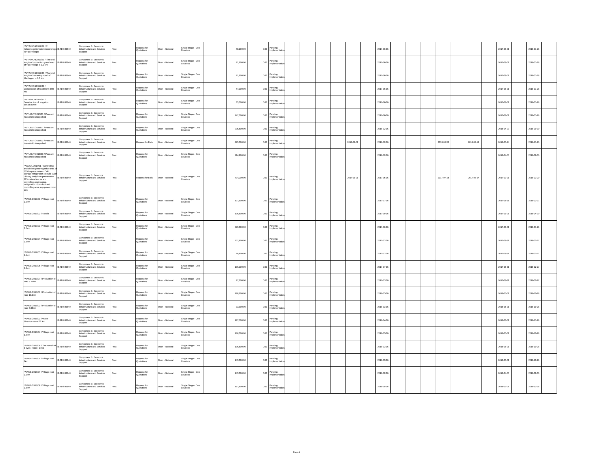| W/YA/YCH/2017/28 / 2<br>hallucinogenic water stone bridge IBRD / 86840<br>in Yadi Villeges                                                                                                                                                                             |                    | Component B: Economic<br>Infrastructure and Services<br>Support     | ost           | Request for<br>Quotations | Open - National | Single Stage - One<br>invelope    | 48,200.00  |             | $0.00 \begin{array}{l} \text{Pending} \\ \text{head} \end{array}$<br>mplementa |  |            | 2017-06-06 |  |            |            | 2017-08-01 | 2018-01-28 |
|------------------------------------------------------------------------------------------------------------------------------------------------------------------------------------------------------------------------------------------------------------------------|--------------------|---------------------------------------------------------------------|---------------|---------------------------|-----------------|-----------------------------------|------------|-------------|--------------------------------------------------------------------------------|--|------------|------------|--|------------|------------|------------|------------|
| W/YA/YCH/2017/29 / The total<br>length of production gravel road<br>of Yadi Villege is 1.0 km                                                                                                                                                                          | BRD / 86840        | Component B: Economic<br>Infrastructure and Services<br>Support     | Post          | Request for<br>Quotations | Open - National | Single Stage - One<br>Envelope    | 71,600.00  | 0.00        | Pending<br>Implemen                                                            |  |            | 2017-06-06 |  |            |            | 2017-08-01 | 2018-01-28 |
| W/YA/YCH/2017/30 / The total<br>length of hardening road of<br>Machagou is 1.0 km                                                                                                                                                                                      | BRD / 86840        | Component B: Economic<br>Infrastructure and Services<br>Support     | Post          | Request for<br>Quotations | Open - National | Single Stage - One<br>rvelope     | 71,600.00  | 0.00        | Pending                                                                        |  |            | 2017-06-06 |  |            |            | 2017-08-01 | 2018-01-28 |
| W/YA/YCH/2017/31 /<br>Construction of revetment: 800<br>m3                                                                                                                                                                                                             | IBRD / 86840       | Component B: Economic<br>nfrastructure and Services<br>Support      | Post          | Request for<br>Quotations | Open - National | Single Stage - One<br>mvelope     | 47,100.00  | $_{0.00}\,$ | Pending<br>mplement                                                            |  |            | 2017-06-06 |  |            |            | 2017-08-01 | 2018-01-28 |
| W/YA/YCH/2017/32 /<br>Construction of irrigation<br>canals:600m                                                                                                                                                                                                        | <b>BRD</b> / 86840 | Component B: Economic<br>Infrastructure and Services<br>Support     | Post          | Request for<br>Quotations | Open - National | Single Stage - One<br>nvelope     | 35,300.00  | 0.00        | Pending<br>Implemen                                                            |  |            | 2017-06-06 |  |            |            | 2017-08-01 | 2018-01-28 |
| W/YU/D/Y/2017/01 / Peasant<br>household sheep shed                                                                                                                                                                                                                     | IRRD / ARR40       | Component B: Economic<br>Infrastructure and Services<br>Support     | Post          | Request for<br>Quotations | Open - National | Single Stage - One<br>velope      | 247,000.00 | 0.00        | Pending                                                                        |  |            | 2017-08-08 |  |            |            | 2017-08-01 | 2018-01-28 |
| W/YU/D/Y/2018/01 / Peasant<br>household sheep shed                                                                                                                                                                                                                     | IBRD / 86840       | Component B: Economic<br>nfrastructure and Services<br>Support      | ost           | Request for<br>Quotations | Open - National | Single Stage - One<br>nvelope     | 205,800.00 |             | 0.00 Pending<br>Implement                                                      |  |            | 2018-02-06 |  |            |            | 2018-04-03 | 2018-09-30 |
| W/YU/D/Y/2018/02 / Peasant<br>household sheep shed                                                                                                                                                                                                                     | IBRD / 86840       | Component B: Economic<br>Infrastructure and Services<br>Support     | Post          | Request for Bids          | Open - National | Single Stage - One<br>Envelope    | 425,300.00 | 0.00        | Pending<br>nolem                                                               |  | 2018-02-01 | 2018-02-06 |  | 2018-03-20 | 2018-04-19 | 2018-05-24 | 2018-11-20 |
| W/YU/D/Y/2018/03 / Peasant<br>household sheep shed                                                                                                                                                                                                                     | BRD / 86840        | Component B: Economic<br>Infrastructure and Services<br>Support     | Post          | Request for<br>Quotations | Open - National | Single Stage - One<br>relape      | 214,900.00 | 0.00        | Pending                                                                        |  |            | 2018-02-06 |  |            |            | 2018-04-03 | 2018-09-30 |
| W/X/C/L/2017/01 / Controlling<br>and civil engineering office area of<br>storage refrigeration to build 2000<br>t library body heat preservation<br>315 meters fences and<br>controlling engineering,<br>refrigeration room door and<br>controlling area, equipment re | BRD / 86840        | Component B: Economic<br>Infrastructure and Services<br>Support     | $_{\rm Post}$ | Request for Bids          | Open - National | Single Stage - One<br>Envelope    | 734,200.00 |             | 0.00 Pending                                                                   |  | 2017-06-01 | 2017-06-06 |  | 2017-07-18 | 2017-08-17 | 2017-09-21 | 2018-03-20 |
| W/W/B/2017/01 / Village road<br>1.5km                                                                                                                                                                                                                                  | IBRD / 86840       | Component B: Economic<br>Infrastructure and Services<br>Support     | Post          | Request for<br>Quotations | Open - National | Single Stage - One<br>nvelope     | 107,500.00 |             | 0.00 Pending                                                                   |  |            | 2017-07-08 |  |            |            | 2017-08-31 | 2018-02-27 |
| W/W/B/2017/02 / 4 wells                                                                                                                                                                                                                                                | IBRD / 86840       | Component B: Economic<br>Infrastructure and Services<br>Support     | Post          | Request for<br>Quotations | Open - National | Single Stage - One<br>nvelope     | 136,600.00 | 0.00        | Pending<br>Implement                                                           |  |            | 2017-09-06 |  |            |            | 2017-11-01 | 2018-04-30 |
| W/W/B/2017/03 / Village road<br>3.2km                                                                                                                                                                                                                                  | IRRD / A6840       | Component B: Economic<br>Infrastructure and Services<br>Support     | Post          | Request for<br>Quotations | Open - National | Single Stage - One<br>.<br>velope | 229,300.00 | 0.00        | Pending                                                                        |  |            | 2017-08-08 |  |            |            | 2017-08-01 | 2018-01-28 |
| W/W/B/2017/04 / Village road<br>2.9km                                                                                                                                                                                                                                  | IBRD / 86840       | Component B: Economic<br>Infrastructure and Services<br>Support     | Post          | Request for<br>Quotations | Open - National | Single Stage - One<br>rvelope     | 207,800.00 | 0.00        | .<br>Pending<br>Implement                                                      |  |            | 2017-07-08 |  |            |            | 2017-08-31 | 2018-02-27 |
| W/W/B/2017/05 / Village road<br>1.1km                                                                                                                                                                                                                                  | IBRD / 86840       | omponent B: Economic<br>Infrastructure and Services<br>Support      | Post          | Request for<br>Quotations | Open - National | Single Stage - One<br>Envelope    | 78,800.00  | 0.00        | Pending<br>Implemer                                                            |  |            | 2017-07-08 |  |            |            | 2017-08-31 | 2018-02-27 |
| W/W/B/2017/06 / Village road<br>1.9km                                                                                                                                                                                                                                  | BRD / 86840        | Component B: Economic<br>Infrastructure and Services<br>Support     | Post          | Request for<br>Quotations | Open - National | Single Stage - One                | 136,100.00 | 0.00        | Pending<br>Implemen                                                            |  |            | 2017-07-06 |  |            |            | 2017-08-31 | 2018-02-27 |
| W/W/B/2017/07 / Production<br>road 5.25km                                                                                                                                                                                                                              | IBRD / 86840       | Component B: Economic<br>Infrastructure and Services<br>Support     | Post          | Request for<br>Quotations | Open - National | Single Stage - One<br>Envelope    | 77,200.00  | 0.00        | Pending<br>Impleme                                                             |  |            | 2017-07-08 |  |            |            | 2017-08-31 | 2018-02-27 |
| W/W/B/2018/01 / Production o<br>road 13.5km                                                                                                                                                                                                                            | IBRD / 86840       | Component B: Economic<br>Infrastructure and Services<br>Support     | ost           | Request for<br>Quotations | Open - National | Single Stage - One<br>invelope    | 198,600.00 | 0.00        | Pending<br>mplement                                                            |  |            | 2018-03-06 |  |            |            | 2018-05-01 | 2018-10-28 |
| W/W/B/2018/02 / Production of<br>road 6.38km                                                                                                                                                                                                                           | IBRD / 86840       | Component B: Economic<br>Infrastructure and Services<br>toqqui      | Post          | Request for<br>Quotations | Open - National | Single Stage - One<br>Envelope    | 93,900.00  | 0.00        | Pending<br>noleme                                                              |  |            | 2018-03-06 |  |            |            | 2018-05-01 | 2018-10-28 |
| W/W/B/2018/03 / Water<br>diversion canal 12 km                                                                                                                                                                                                                         | BRD / 86840        | Component B: Economic<br>Infrastructure and Services<br>Support     | Post          | Request for<br>luotations | Open - National | Single Stage - One<br>rvelope     | 197,700.00 | 0.00        | Pending<br>nplement                                                            |  |            | 2018-04-06 |  |            |            | 2018-06-01 | 2018-11-28 |
| W/W/B/2018/04 / Village road<br>3.2km                                                                                                                                                                                                                                  | IBRD / 86840       | Component B: Economic<br>nfrastructure and Services<br>Support      | Post          | Request for<br>Quotations | Open - National | Single Stage - One<br>velope      | 186,300.00 |             | 0.00 Pending                                                                   |  |            | 2018-03-06 |  |            |            | 2018-05-01 | 2018-10-28 |
| W/W/B/2018/06 / The new shaft<br>3 eyes, repair, 1 eye                                                                                                                                                                                                                 | IBRD / 86840       | Component B: Economic<br>Infrastructure and Services<br>Support     | Post          | Request for<br>Quotations | Open - National | Single Stage - One<br>nvelope     | 136,600.00 | 0.00        | Pending<br>Implemen                                                            |  |            | 2018-03-06 |  |            |            | 2018-05-01 | 2018-10-28 |
| W/W/B/2018/05 / Village road                                                                                                                                                                                                                                           | IRRD / ARR40       | Component B: Economic<br>Infrastructure and Services<br>lupport     | Post          | Request for<br>Quotations | Open - National | Single Stage - One<br>elope       | 143.300.00 | 0.00        | Pending                                                                        |  |            | 2018-03-06 |  |            |            | 2018-05-01 | 2018-10-28 |
| W/W/B/2018/07 / Village road<br>2.6km                                                                                                                                                                                                                                  | BRD / 86840        | Component B: Economic<br>nfrastructure and Services<br>-<br>Support | ost           | Request for<br>Quotations | Open - National | Single Stage - One<br>rvelope     | 143,300.00 |             | 0.00 Pending                                                                   |  |            | 2018-02-06 |  |            |            | 2018-04-03 | 2018-09-30 |
| W/W/B/2018/08 / Village road<br>2.8km                                                                                                                                                                                                                                  | IBRD / 86840       | Component B: Economic<br>Infrastructure and Services<br>Support     | Post          | Request for<br>Quotations | Open - National | Single Stage - One<br>nvelope     | 157,600.00 | 0.00        | Pending<br>Implementa                                                          |  |            | 2018-05-06 |  |            |            | 2018-07-01 | 2018-12-28 |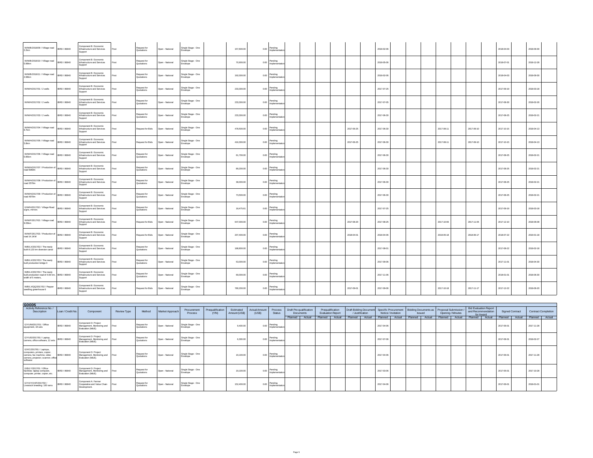| W/W/B/2018/09 / Village road<br>2.2km                                                              | BRD / 86840  | Component B: Economic<br>Infrastructure and Services<br>Support | Post | Request for<br>Quotations | Open - National | Single Stage - One<br>Envelope | 157,600.00 | 0.00 | Pending<br>Implementation        |  |            | 2018-02-06 |  |            |            | 2018-04-03 | 2018-09-30 |
|----------------------------------------------------------------------------------------------------|--------------|-----------------------------------------------------------------|------|---------------------------|-----------------|--------------------------------|------------|------|----------------------------------|--|------------|------------|--|------------|------------|------------|------------|
| W/W/B/2018/10 / Village road<br>0.99km                                                             | IBRD / 86840 | Component B: Economic<br>Infrastructure and Services<br>Support | Post | Request for<br>Quotations | Open - National | Single Stage - One<br>Envelope | 70,900.00  |      | $0.00$ Pending<br>Implementatio  |  |            | 2018-05-06 |  |            |            | 2018-07-01 | 2018-12-28 |
| W/W/B/2018/11 / Village road<br>2.68km                                                             | IBRD / 86840 | Component B: Economic<br>Infrastructure and Services<br>Support | Post | Request for<br>Quotations | Open - National | Single Stage - One<br>Envelope | 192,000.00 |      | $0.00$ Pending<br>Implementation |  |            | 2018-02-06 |  |            |            | 2018-04-03 | 2018-09-30 |
| W/W/H/2017/01 / 2 wells                                                                            | IBRD / 86840 | Component B: Economic<br>Infrastructure and Services<br>Support | Post | Request for<br>Quotations | Open - National | Single Stage - One<br>Envelope | 233,300.00 |      | $0.00$ Pending<br>Implementation |  |            | 2017-07-25 |  |            |            | 2017-09-19 | 2018-03-18 |
| W/W/H/2017/02 / 2 wells                                                                            | IBRD / 86840 | Component B: Economic<br>Infrastructure and Services<br>Support | Post | Request for<br>Quotations | Open - National | Single Stage - One<br>Envelope | 233,300.00 |      | $0.00$ Pending<br>Implementatio  |  |            | 2017-07-05 |  |            |            | 2017-08-30 | 2018-02-26 |
| W/W/H/2017/03 / 2 wells                                                                            | IBRD / 86840 | Component B: Economic<br>Infrastructure and Services<br>Support | Post | Request for<br>Quotations | Open - National | Single Stage - One<br>Envelope | 233,300.00 |      | $0.00$ Pending<br>Implementation |  |            | 2017-06-30 |  |            |            | 2017-08-25 | 2018-02-21 |
| W/W/H/2017/04 / Village road<br>6.7km                                                              | IBRD / 86840 | Component B: Economic<br>Infrastructure and Services<br>Support | Post | Request for Bids          | Open - National | Single Stage - One<br>Envelope | 478,500.00 |      | 0.00 Pending<br>Implementation   |  | 2017-06-25 | 2017-06-30 |  | 2017-08-11 | 2017-09-10 | 2017-10-15 | 2018-04-13 |
| W/W/H/2017/05 / Village road<br>5.8km                                                              | BRD / 86840  | Component B: Economic<br>Infrastructure and Services<br>Support | Post | Request for Bids          | Open - National | Single Stage - One<br>Envelope | 416,300.00 |      | $0.00$ Pending<br>Implementation |  | 2017-06-25 | 2017-06-30 |  | 2017-08-11 | 2017-09-10 | 2017-10-15 | 2018-04-13 |
| W/W/H/2017/06 / Village road<br>0.85km                                                             | IBRD / 86840 | Component B: Economic<br>Infrastructure and Services<br>Support | Post | Request for<br>Quotations | Open - National | Single Stage - One<br>Envelope | 61,700.00  | 0.00 | Pending<br>Implementatio         |  |            | 2017-06-30 |  |            |            | 2017-08-25 | 2018-02-21 |
| W/W/H/2017/07 / Production of<br>road 6080m                                                        | IBRD / 86840 | Component B: Economic<br>Infrastructure and Services<br>Support | Post | Request for<br>Quotations | Open - National | Single Stage - One<br>Envelope | 89,200.00  |      | 0.00 Pending<br>Implementation   |  |            | 2017-06-30 |  |            |            | 2017-08-25 | 2018-02-21 |
| W/W/H/2017/08 / Production of<br>road 2570m                                                        | IBRD / 86840 | Component B: Economic<br>Infrastructure and Services<br>Support | Post | Request for<br>Quotations | Open - National | Single Stage - One<br>Envelope | 38,000.00  |      | $0.00$ Pending<br>Implementation |  |            | 2017-06-30 |  |            |            | 2017-08-25 | 2018-02-21 |
| W/W/H/2017/09 / Production of   IBRD / 86840<br>road 4970m                                         |              | Component B: Economic<br>Infrastructure and Services<br>Support | Post | Request for<br>Quotations | Open - National | Single Stage - One<br>Envelope | 73,500.00  |      | $0.00$ Pending<br>Implementation |  |            | 2017-06-30 |  |            |            | 2017-08-25 | 2018-02-21 |
| G/W/H/2017/02 / Village Road<br>signs, mirrors                                                     | IBRD / 86840 | Component B: Economic<br>Infrastructure and Services<br>Support | Post | Request for<br>Quotations | Open - National | Single Stage - One<br>Envelope | 18,475.61  |      | $0.00$ Pending<br>Implementatio  |  |            | 2017-07-25 |  |            |            | 2017-09-19 | 2018-03-18 |
| W/W/F/2017/02 / Village road<br>9.03km                                                             | IBRD / 86840 | Component B: Economic<br>Infrastructure and Services<br>Support | Post | Request for Bids          | Open - National | Single Stage - One<br>Envelope | 647,000.00 | 0.00 | Pending<br>Implementatio         |  | 2017-08-20 | 2017-08-25 |  | 2017-10-06 | 2017-11-05 | 2017-12-10 | 2018-06-08 |
| W/W/F/2017/03 / Production of<br>road 14.1KM                                                       | IBRD / 86840 | Component B: Economic<br>Infrastructure and Services<br>Support | Post | Request for Bids          | Open - National | Single Stage - One<br>Envelope | 207,400.00 |      | $0.00$ Pending<br>Implementation |  | 2018-04-01 | 2018-04-06 |  | 2018-05-18 | 2018-06-17 | 2018-07-22 | 2019-01-18 |
| W/B/LX/2017/02 / The newly<br>built 8.123 km diversion canal                                       | IBRD / 86840 | Component B: Economic<br>Infrastructure and Services<br>Support | Post | Request for<br>Quotations | Open - National | Single Stage - One<br>Envelope | 188,800.00 | 0.00 | Pending<br>Implementatio         |  |            | 2017-08-01 |  |            |            | 2017-08-22 | 2018-02-18 |
| W/B/LX/2017/03 / The newly<br>built production bridge 3                                            | IBRD / 86840 | Component B: Economic<br>Infrastructure and Services<br>Support | Post | Request for<br>Quotations | Open - National | Single Stage - One<br>Envelope | 53,000.00  |      | $0.00$ Pending<br>Implementation |  |            | 2017-09-06 |  |            |            | 2017-11-01 | 2018-04-30 |
| W/B/LX/2017/04 / The newly<br>built production road of 4.69 km, IBRD / 86840<br>width of 5 meters, |              | Component B: Economic<br>Infrastructure and Services<br>Support | Post | Request for<br>Quotations | Open - National | Single Stage - One<br>Envelope | 69,000.00  |      | $0.00$ Pending<br>Implementation |  |            | 2017-11-06 |  |            |            | 2018-01-01 | 2018-06-30 |
| W/B/LX/QQ/2017/02 / Pepper<br>seedling greenhouse 6                                                | IBRD / 86840 | Component B: Economic<br>Infrastructure and Services<br>Support | Post | Request for Bids          | Open - National | Single Stage - One<br>Envelope | 780,200.00 | 0.00 | Pending<br>Implementation        |  | 2017-09-01 | 2017-09-06 |  | 2017-10-18 | 2017-11-17 | 2017-12-22 | 2018-06-20 |

| <b>GOODS</b>                                                                                                                             |                  |                                                                              |                    |                           |                              |                                |                          |                            |                               |                                |                                      |        |                                              |        |                                           |        |            |                                             |                                                             |        |                   |                                                                 |        |                        |                            |
|------------------------------------------------------------------------------------------------------------------------------------------|------------------|------------------------------------------------------------------------------|--------------------|---------------------------|------------------------------|--------------------------------|--------------------------|----------------------------|-------------------------------|--------------------------------|--------------------------------------|--------|----------------------------------------------|--------|-------------------------------------------|--------|------------|---------------------------------------------|-------------------------------------------------------------|--------|-------------------|-----------------------------------------------------------------|--------|------------------------|----------------------------|
| Activity Reference No./<br><b>Description</b>                                                                                            | Loan / Credit No | Component                                                                    | <b>Review Type</b> | Method                    | Market Approach <sup>1</sup> | Procurement<br>Process         | Prequalification<br>(YN) | Estimated<br>Amount (US\$) | <b>Actual Amount</b><br>(USS) | Process<br>Status              | Draft Pre-qualification<br>Documents |        | Pregualification<br><b>Evaluation Report</b> |        | Draft Bidding Document<br>/ Justification |        |            | Specific Procurement<br>Notice / Invitation | Bidding Documents as   Proposal Submission<br><b>Issued</b> |        | Opening / Minutes | <b>Bid Evaluation Report</b><br>and Recommendation<br>for Award |        | <b>Signed Contract</b> | <b>Contract Completion</b> |
|                                                                                                                                          |                  |                                                                              |                    |                           |                              |                                |                          |                            |                               |                                | Planned                              | Actual | Planned                                      | Actual | Planned                                   | Actual | Planned    | Actual                                      | Planned                                                     | Actual | Planned Actual    | Planned                                                         | Actual | Planned Actual         | Planned Actual             |
| G/YU/M/2017/01 / Office<br>equipment, 18 sets                                                                                            | IBRD / 86840     | Component D: Project<br>Management, Monitoring and<br>Evaluation (M&E).      | Post               | Request fo<br>Quotations  | Open - National              | Single Stage - One<br>Envelope |                          | 9,400.00                   | 0.00                          | Pending<br>Implementation      |                                      |        |                                              |        |                                           |        | 2017-04-06 |                                             |                                                             |        |                   |                                                                 |        | 2017-06-               | 2017-11-28                 |
| G/YU/D/2017/01 / Laptop,<br>camera. office software. 12 sets                                                                             | BRD / 86840      | Component D: Project<br>Management, Monitoring and Post<br>Evaluation (M&E). |                    | Request fo<br>Quotations  | Open - National              | Single Stage - One<br>Envelope |                          | 6,300.00                   | 0.00                          | Pending<br>Implementation      |                                      |        |                                              |        |                                           |        | 2017-07-08 |                                             |                                                             |        |                   |                                                                 |        | 2017-08-2              | 2018-02-27                 |
| G/X/C/2017/01 / Laptops,<br>computers, printers, copier,<br>camera, fax machine, video<br>camera, projector, scanner, office<br>software | BRD / 86840      | Component D: Project<br>Management, Monitoring and Post<br>Evaluation (M&E). |                    | Request fo<br>Quotations  | Open - National              | Single Stage - One<br>Envelope |                          | 19,100.00                  |                               | Pending<br>Implementation      |                                      |        |                                              |        |                                           |        | 2017-04-06 |                                             |                                                             |        |                   |                                                                 |        | 2017-06-0              | 2017-11-28                 |
| G/B/LY/2017/01 / Office<br>facilities: laptop computer,<br>computer, printer, copier, etc.                                               | IBRD / 86840     | Component D: Project<br>Management, Monitoring and Post<br>Evaluation (M&E). |                    | Request fo<br>Quotations  | Open - National              | Single Stage - One<br>Envelope |                          | 19,100.00                  |                               | Pending<br>Implementation      |                                      |        |                                              |        |                                           |        | 2017-03-06 |                                             |                                                             |        |                   |                                                                 |        | 2017-05-               | 2017-10-28                 |
| G/YA/YCH/F/2017/02 /<br>Livestock breeding: 100 rams                                                                                     | BRD / 86840      | Component A: Farmer<br>Cooperative and Value Chain<br>Development            |                    | Request for<br>Quotations | Open - National              | Single Stage - One<br>Envelope |                          | 152,400.00                 |                               | 0.00 Pending<br>Implementation |                                      |        |                                              |        |                                           |        | 2017-04-06 |                                             |                                                             |        |                   |                                                                 |        | 2017-06-               | 2018-01-01                 |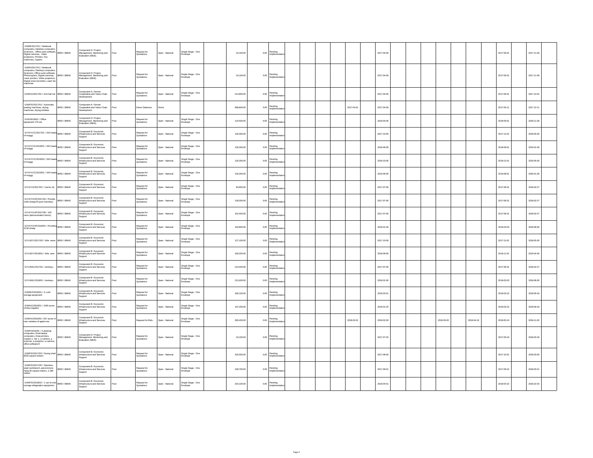| G/W/B/2017/01 / Notebook<br>Computers, Desktop computers,<br>Scanners, Office suite software,<br>Scanners, Office suite software,<br>Digital cameras, Video<br>prijectors, Printers, Fax<br>machines, Copiers                                   |              | Component D: Project<br>Management, Monitoring and<br>Evaluation (M&E). | Post | Request for<br>Quotations | Open - National | Single Stage - One<br>Envelope | 19,100.00  |      | 0.00 Pending                |  |            | 2017-04-06 |  |            |            | 2017-06-01 | 2017-11-28 |  |
|-------------------------------------------------------------------------------------------------------------------------------------------------------------------------------------------------------------------------------------------------|--------------|-------------------------------------------------------------------------|------|---------------------------|-----------------|--------------------------------|------------|------|-----------------------------|--|------------|------------|--|------------|------------|------------|------------|--|
| G/W/H/2017/01 / Notebook<br>computers, Desktop computers,<br>Scanners, Office suite software,<br>Nontribus, Sinux Bouwer Software,<br>Photocopiers, Digital cameras, IBRD / 86840<br>Digital voice recorders, Laser fax<br>machines<br>machines |              | Component D: Project<br>Management, Monitoring and<br>Evaluation (M&E). | Post | Request for<br>Quotations | Open - National | Single Stage - One<br>Envelope | 19,100.00  | 0.00 | Pending<br>nnlemi           |  |            | 2017-04-06 |  |            |            | 2017-06-01 | 2017-11-28 |  |
| G/W/H/J/2017/02 / Anti-hail net BRD / 86840                                                                                                                                                                                                     |              | Component A: Farmer<br>Cooperative and Value Chain<br>Development.      | Post | Request for<br>Quotations | Open - National | Single Stage - One<br>Envelope | 214,800.00 | 0.00 | Pending<br>mnlemer          |  |            | 2017-04-06 |  |            |            | 2017-06-01 | 2017-12-02 |  |
| G/W/F/D/2017/01 / Automatic<br>peeling machines, drying<br>machines, drying trolleies                                                                                                                                                           | IBRD / 86840 | Component A: Farmer<br>Cooperative and Value Chain<br>Development.      | Post | Direct Selection          | Direct          |                                | 588,800.00 | 0.00 | Pending<br>Implemer         |  | 2017-04-01 | 2017-04-06 |  |            |            | 2017-05-1  | 2017-12-11 |  |
| G/SH/2018/01 / Office<br>equipment 176 set                                                                                                                                                                                                      | IBRD / 86840 | Component D: Project<br>Management, Monitoring and<br>Evaluation (M&E). | Post | Request for<br>Quotations | Open - National | Single Stage - One<br>invelope | 124,500.00 |      | $0.00$ Pending<br>mpleme    |  |            | 2018-04-06 |  |            |            | 2018-06-01 | 2018-11-28 |  |
| G/YA/YC/C/2017/01 / 342 heads BRD / 86840<br>of moggy                                                                                                                                                                                           |              | Component B: Economic<br>Infrastructure and Services<br>Support         | Post | Request for<br>Quotations | Open - National | Single Stage - One<br>Envelope | 130.300.00 | 0.00 | Pending<br>Impleme          |  |            | 2017-10-08 |  |            |            | 2017-12-01 | 2018-05-30 |  |
| G/YA/YC/C/2018/01 / 342 heads BRD / 86840                                                                                                                                                                                                       |              | Component B: Economic<br>Infrastructure and Services<br>Support         | Post | Request for<br>Quotations | Open - National | Single Stage - One<br>Envelope | 130,300.00 | 0.00 | Pending<br>mplements        |  |            | 2018-06-06 |  |            |            | 2018-08-01 | 2019-01-28 |  |
| G/YA/YC/C/2018/03 / 342 heads BRD / 86840<br>of moggy                                                                                                                                                                                           |              | Component B: Economic<br>Infrastructure and Services<br>Support         | Post | Request for<br>Quotations | Onen - National | Single Stage - One<br>Envelope | 130.300.00 | 0.00 | Pending<br>npleme           |  |            | 2018-10-08 |  |            |            | 2018-12-01 | 2019-05-30 |  |
| G/YA/YC/C/2019/01 / 342 heads BRD / 86840                                                                                                                                                                                                       |              | Component B: Economic<br>Infrastructure and Services<br>Support         | Post | Request for<br>Quotations | Open - National | Single Stage - One<br>Envelope | 130,300.00 | 0.00 | Pending<br>Implements       |  |            | 2019-06-06 |  |            |            | 2019-08-01 | 2020-01-28 |  |
| G/YA/Y/Z/2017/02 / Carrier (4) BRD / 86840                                                                                                                                                                                                      |              | Component B: Economic<br>Infrastructure and Services<br>Sunnort         | Post | Request for<br>Quotations | Open - National | Single Stage - One<br>nvelope  | 83,800.00  | 0.00 | Pending<br>noleme           |  |            | 2017-07-06 |  |            |            | 2017-08-31 | 2018-02-27 |  |
| G/YA/YCH/F/2017/04 / Provide BRD / 86840                                                                                                                                                                                                        |              | Component B: Economic<br>Infrastructure and Services<br>Support         | Post | Request for<br>Quotations | Open - National | Single Stage - One<br>Envelope | 128,000.00 |      | 0.00 Pending<br>Implementa  |  |            | 2017-07-06 |  |            |            | 2017-08-3  | 2018-02-27 |  |
| G/YA/YCH/F/2017/06 / 100<br>rams (demonstration farms)                                                                                                                                                                                          | IBRD / 86840 | Component B: Economic<br>Infrastructure and Services<br>Support         | Post | Request for<br>Quotations | Open - National | Single Stage - One<br>Envelope | 152,400.00 |      | $0.00$ Pending              |  |            | 2017-07-08 |  |            |            | 2017-08-31 | 2018-02-27 |  |
| G/YA/YCH/F/2018/01 / Providing BRD / 86840<br>2130 sheep                                                                                                                                                                                        |              | Component B: Economic<br>Infrastructure and Services<br>Support         | Post | Request for<br>luotations | Open - National | Single Stage - One<br>Envelope | 194,800.00 | 0.00 | Pending<br>nplementa        |  |            | 2018-01-06 |  |            |            | 2018-03-03 | 2018-08-30 |  |
| G/YU/D/Y/2017/02 / little ewes BRD / 86840                                                                                                                                                                                                      |              | Component B: Economic<br>Infrastructure and Services<br>Support         | Post | Request for<br>Quotations | Open - National | Single Stage - One<br>Envelope | 127,100.00 | 0.00 | Pending<br>Implementa       |  |            | 2017-10-06 |  |            |            | 2017-12-01 | 2018-05-30 |  |
| G/YU/D/Y/2018/01 / little ewe                                                                                                                                                                                                                   | BRD / 86840  | Component B: Economic<br>Infrastructure and Services<br>Support         | Post | Request for<br>Quotations | Open - National | Single Stage - One<br>Envelope | 169,200.00 | 0.00 | Pending<br>nplemer          |  |            | 2018-09-06 |  |            |            | 2018-11-01 | 2019-04-30 |  |
| G/YU/ML/2017/01 / donkeys                                                                                                                                                                                                                       | IBRD / 86840 | Component B: Economic<br>Infrastructure and Services<br>Support         | Post | Request for<br>Quotations | Open - National | Single Stage - One<br>Envelope | 213,400.00 |      | $0.00$ Pending<br>nplements |  |            | 2017-07-08 |  |            |            | 2017-08-3  | 2018-02-27 |  |
| G/YU/ML/2018/01 / donkeys                                                                                                                                                                                                                       | IRRD / A6840 | Component B: Economic<br>Infrastructure and Services<br>Support         | Post | Request for<br>Quotations | Open - National | Single Stage - One<br>Envelope | 213,400.00 | 0.00 | Pending<br>Implemer         |  |            | 2018-01-08 |  |            |            | 2018-03-03 | 2018-08-30 |  |
| G/W/B/F/2018/01 / A cold<br>storage equipment                                                                                                                                                                                                   | IBRD / 86840 | Component B: Economic<br>Infrastructure and Services<br>Support         | Post | Request for<br>Quotations | Open - National | Single Stage - One<br>Envelope | 180,100.00 | 0.00 | Pending<br>mplementa        |  |            | 2018-03-01 |  |            |            | 2018-03-22 | 2018-09-18 |  |
| G/W/H/J/2018/01 / 1050 acres<br>of drip irrigation                                                                                                                                                                                              | IBRD / 86840 | Component B: Economic<br>Infrastructure and Services<br>Support         | Post | Request for<br>Quotations | Open - National | Single Stage - One<br>Envelope | 197,200.00 |      | 0.00 Pending                |  |            | 2018-01-25 |  |            |            | 2018-03-22 | 2018-09-18 |  |
| G/W/H/J/2018/02 / 557 acres of<br>new varieties of apple tree                                                                                                                                                                                   | BRD / 86840  | Component B: Economic<br>Infrastructure and Services                    | Post | Request for Bids          | Open - National | Single Stage - One<br>Envelope | 285,400.00 | 0.00 | Pending<br>Implementa       |  | 2018-02-01 | 2018-02-06 |  | 2018-03-20 | 2018-04-19 | 2018-05-24 | 2018-11-20 |  |
| G/W/F/2016/01 / 5 desktop<br>computers, three laptop<br>computers, three printers,<br>copiers 1, fax 1, a camera, a<br>scanner, a projector, a camera,<br>office software 8                                                                     | IBRD / 86840 | Component D: Project<br>Management, Monitoring and<br>Evaluation (M&E). | Post | Request for<br>Quotations | Open - National | Single Stage - One<br>Envelope | 19,100.00  |      | 0.00 Pending                |  |            | 2017-07-25 |  |            |            | 2017-09-19 | 2018-03-18 |  |
| G/W/F/D/2017/03 / Drying shed  BRD / 86840<br>$6020$ square meters                                                                                                                                                                              |              | Component B: Economic<br>Infrastructure and Services<br>Support         | Post | Request for<br>uotations  | Open - National | Single Stage - One<br>Envelope | 105,500.00 |      | $0.00$ Pending<br>nplemi    |  |            | 2017-08-06 |  |            |            | 2017-10-01 | 2018-03-30 |  |
| G/W/F/D/2017/05 / Stainless<br>steel workbench, persimmons<br>hang 30 square meters, 2.189                                                                                                                                                      | IBRD / 86840 | Component B: Economic<br>Infrastructure and Services<br>Support         | Post | Request for<br>Quotations | Open - National | Single Stage - One<br>Envelope | 108,700.00 |      | $0.00$ Pending<br>mplementa |  |            | 2017-09-01 |  |            |            | 2017-09-22 | 2018-03-21 |  |
| G/W/F/D/2018/02 / 1 set of cold<br>storage refrigeration equipment BRD / 86840                                                                                                                                                                  |              | Component B: Economic<br>Infrastructure and Services<br>Support         | Post | Request for<br>Quotations | Open - National | Single Stage - One<br>Envelope | 234,100.00 |      | 0.00 Pending<br>Implementa  |  |            | 2018-04-01 |  |            |            | 2018-04-22 | 2018-10-19 |  |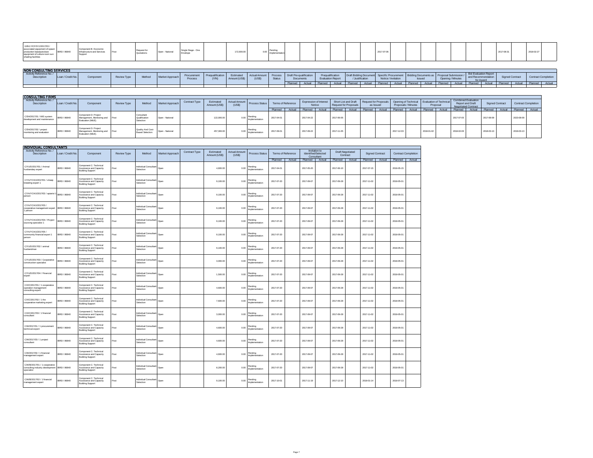| G/B/LY/CF/SYJ/2017/03 /<br>assucados equipmento spaint.<br>Production becasuracteus | - were errored D. EUUHUHIN.<br>Tetrurbura sed Sandrae | Request for<br>Quotations | e Stane - One | 172,900.0 |  |  |  | 2017-07 |  |  |  |  |  |
|-------------------------------------------------------------------------------------|-------------------------------------------------------|---------------------------|---------------|-----------|--|--|--|---------|--|--|--|--|--|
| production baseautoclave<br>equipment of culture room sun<br>shading facilities     |                                                       |                           |               |           |  |  |  |         |  |  |  |  |  |

| <b>NON CONSULTING SERVICES</b> |                   |           |             |                     |                 |                        |     |                           |                         |                   |                                            |                |                          |         |               |                                                                                                          |              |        |                                      |                 |                        |                 |        |                     |
|--------------------------------|-------------------|-----------|-------------|---------------------|-----------------|------------------------|-----|---------------------------|-------------------------|-------------------|--------------------------------------------|----------------|--------------------------|---------|---------------|----------------------------------------------------------------------------------------------------------|--------------|--------|--------------------------------------|-----------------|------------------------|-----------------|--------|---------------------|
| Description                    | Loan / Credit No. | Component | Review Type | Adoption.<br>wetnoc | Market Approach | Procurement<br>Proces: | NAN | Estimated<br>Amount (US\$ | Actual Amount<br>(2211) | Process<br>Status | <b>Draft Pre-qualification</b><br>Document |                | <b>Evaluation Report</b> |         | Justification | Prequalification Draft Bidding Document Specific Procurement Bidding Documents as<br>Notice / Invitation | <b>Issue</b> |        | a as   Proposal Submissir<br>Opening | $106$ particles | Bid Evaluation Report  | Signed Contract |        | Contract Completion |
|                                |                   |           |             |                     |                 |                        |     |                           |                         |                   |                                            | Planned Actual |                          | Planned | Actual I      | Planned Actual                                                                                           | Planned      | Actual |                                      |                 | Planned Actual Planned | Actual Planned  | Actual | Planned Actual      |
|                                |                   |           |             |                     |                 |                        |     |                           |                         |                   |                                            |                |                          |         |               |                                                                                                          |              |        |                                      |                 |                        |                 |        |                     |

| <b>CONSULTING FIRMS</b>                                  |                    |                                                                                           |             |                                             |                 |               |                            |        |                                 |                    |  |                                         |  |                       |        |                |  |                                                                                                                      |  |                |  |                                                                              |        |                        |  |                            |  |
|----------------------------------------------------------|--------------------|-------------------------------------------------------------------------------------------|-------------|---------------------------------------------|-----------------|---------------|----------------------------|--------|---------------------------------|--------------------|--|-----------------------------------------|--|-----------------------|--------|----------------|--|----------------------------------------------------------------------------------------------------------------------|--|----------------|--|------------------------------------------------------------------------------|--------|------------------------|--|----------------------------|--|
| Activity Reference No./<br>Description                   | Loan / Credit No.  | Component                                                                                 | Review Type | Method                                      | Market Approach | Contract Type | Estimated<br>Amount (US\$) | (US\$) |                                 | Terms of Reference |  | <b>Expression of Interest</b><br>Notice |  | Request for Proposals |        | as Issued      |  | Short List and Draft   Request for Proposals   Opening of Technical   Evaluation of Technical<br>Proposals / Minutes |  | Proposal       |  | <b>Combined Evaluation</b><br><b>Report and Draft</b><br>Negotiated Contract |        | <b>Signed Contract</b> |  | <b>Contract Completion</b> |  |
|                                                          |                    |                                                                                           |             |                                             |                 |               |                            |        |                                 | Planned Actual     |  | Planned Actual                          |  | Planned               | Actual | Planned Actual |  | Planned Actual                                                                                                       |  | Planned Actual |  | Planned                                                                      | Actual | Planned Actual         |  | Planned Actual             |  |
| C/SH/2017/01 / MIS system<br>development and maintenance |                    | Component D: Project<br>Management, Monitoring and Post<br><sup>1</sup> Evaluation (M&E). |             | Consultan<br>Qualification<br>Selection     | Open - National |               | 122,000.00                 |        | ∩ Pending<br>Implementatio      | 2017-04-01         |  | 2017-04-22                              |  | 2017-06-06            |        |                |  |                                                                                                                      |  |                |  | 2017-07-05                                                                   |        | 2017-08-09             |  | 2023-08-09                 |  |
| C/SH/2017/02 / project<br>monitoring and evaluation      | <b>BRD</b> / 86840 | Component D: Project<br>Management, Monitoring and Post<br>Evaluation (M&E).              |             | Quality And Cost-<br><b>Based Selection</b> | Open - National |               | 457,300.00                 |        | Pending<br>0.00   mplementation | 2017-09-01         |  | 2017-09-22                              |  | 2017-11-05            |        |                |  | 2017-12-03                                                                                                           |  | 2018-01-02     |  | 2018-02-06                                                                   |        | 2018-03-13             |  | 2019-03-13                 |  |

| <b>INDIVIDUAL CONSULTANTS</b>                                                                 |                   |                                                                              |      |                                    |                 |               |                            |                                |                           |                    |        |            |                                                    |            |                                     |                        |        |                            |        |
|-----------------------------------------------------------------------------------------------|-------------------|------------------------------------------------------------------------------|------|------------------------------------|-----------------|---------------|----------------------------|--------------------------------|---------------------------|--------------------|--------|------------|----------------------------------------------------|------------|-------------------------------------|------------------------|--------|----------------------------|--------|
| Activity Reference No./<br>Description                                                        | Loan / Credit No. | Component                                                                    |      | Method                             | Market Approach | Contract Type | Estimated<br>Amount (US\$) | <b>Actual Amount</b><br>(US\$) | <b>Process Status</b>     | Terms of Reference |        |            | Invitation to<br>Identified/Selected<br>Consultant |            | <b>Draft Negotiated</b><br>Contract | <b>Signed Contract</b> |        | <b>Contract Completion</b> |        |
|                                                                                               |                   |                                                                              |      |                                    |                 |               |                            |                                |                           | Planned            | Actual | Planned    | Actual                                             | Planned    | Actual                              | Planned                | Actual | Planned                    | Actual |
| C/YU/D/2017/01 / Animal<br>husbandary expert                                                  | IBRD / 86840      | Component C: Technical<br>Assistance and Capacity<br><b>Building Support</b> | Post | Individual Consultant<br>Selection | Open            |               | 4,600.00                   | 0.00                           | Pending<br>Implementation | 2017-04-01         |        | 2017-05-20 |                                                    | 2017-06-10 |                                     | 2017-07-15             |        | 2018-05-15                 |        |
| C/YA/YCH/J/2017/01 / sheep<br>breeding expert 1                                               | IBRD / 86840      | Component C: Technical<br>Assistance and Capacity<br><b>Building Support</b> | Post | Individual Consultant<br>Selection | Open            |               | 9,100.00                   | 0.00                           | Pending<br>mplementation  | 2017-07-20         |        | 2017-09-07 |                                                    | 2017-09-28 |                                     | 2017-11-02             |        | 2018-05-01                 |        |
| C/YA/YCH/J/2017/02 / apiarist<br>nerson                                                       | IBRD / 86840      | Component C: Technical<br>Assistance and Capacity<br><b>Building Support</b> | Post | Individual Consultant<br>Selection | Open            |               | 9,100.00                   | 0.00                           | Pending<br>Implementation | 2017-07-20         |        | 2017-09-07 |                                                    | 2017-09-28 |                                     | 2017-11-02             |        | 2018-05-01                 |        |
| C/YA/YCH/J/2017/03 /<br>cooperative management expert   IBRD / 86840<br>1 person              |                   | Component C: Technical<br>Assistance and Capacity<br><b>Building Support</b> | Post | Individual Consultant<br>Selection | Open            |               | 9.100.00                   | 0.00                           | Pending<br>mplementation  | 2017-07-20         |        | 2017-09-07 |                                                    | 2017-09-28 |                                     | 2017-11-02             |        | 2018-05-01                 |        |
| C/YA/YCH/J/2017/04 / Project<br>sourcing specialist 1                                         | IBRD / 86840      | Component C: Technical<br>Assistance and Capacity<br><b>Building Support</b> | Post | Individual Consultant<br>Selection | Open            |               | 9,100.00                   | 0.00                           | Pending<br>Implementation | 2017-07-20         |        | 2017-09-07 |                                                    | 2017-09-28 |                                     | 2017-11-02             |        | 2018-05-01                 |        |
| C/YA/YCH/J/2017/05 /<br>community financial expert 1<br>person                                | IBRD / 86840      | Component C: Technical<br>Assistance and Capacity<br><b>Building Support</b> | Post | Individual Consultant<br>Selection | Open            |               | 9.100.00                   | 0.00                           | Pending<br>Implementation | 2017-07-20         |        | 2017-09-07 |                                                    | 2017-09-28 |                                     | 2017-11-02             |        | 2018-05-01                 |        |
| C/YU/D/2017/02 / animal<br>husbandman                                                         | IBRD / 86840      | Component C: Technical<br>Assistance and Capacity<br><b>Building Support</b> | Post | Individual Consultant<br>Selection | Open            |               | 9,100.00                   | 0.00                           | Pending<br>mplementation  | 2017-07-20         |        | 2017-09-07 |                                                    | 2017-09-28 |                                     | 2017-11-02             |        | 2018-05-01                 |        |
| C/YU/D/2017/03 / Cooperative<br>construction specialist                                       | IBRD / 86840      | Component C: Technical<br>Assistance and Capacity<br><b>Building Support</b> | Post | Individual Consultant<br>Selection | Open            |               | 3,000.00                   | 0.00                           | Pending<br>mplementation  | 2017-07-20         |        | 2017-09-07 |                                                    | 2017-09-28 |                                     | 2017-11-02             |        | 2018-05-01                 |        |
| C/YU/D/2017/04 / Financial<br>expert                                                          | IBRD / 86840      | Component C: Technical<br>Assistance and Capacity<br><b>Building Support</b> | Post | Individual Consultant<br>Selection | Open            |               | 1,500.00                   | 0.00                           | Pendina<br>Implementation | 2017-07-20         |        | 2017-09-07 |                                                    | 2017-09-28 |                                     | 2017-11-02             |        | 2018-05-01                 |        |
| C/X/C/2017/01 / 1 cooperative<br>operation management<br>consulting expert                    | IBRD / 86840      | Component C: Technical<br>Assistance and Capacity<br><b>Building Support</b> | Post | Individual Consultant<br>Selection | Open            |               | 4,600.00                   | 0.00                           | Pending<br>Implementation | 2017-07-20         |        | 2017-09-07 |                                                    | 2017-09-28 |                                     | 2017-11-02             |        | 2018-05-01                 |        |
| C/X/C/2017/02 / 1 the<br>cooperative marketing expert                                         | IBRD / 86840      | Component C: Technical<br>Assistance and Capacity<br><b>Building Support</b> | Post | Individual Consultant<br>Selection | Open            |               | 7,600.00                   | 0.00                           | Pending<br>mplementation  | 2017-07-20         |        | 2017-09-07 |                                                    | 2017-09-28 |                                     | 2017-11-02             |        | 2018-05-01                 |        |
| C/X/C/2017/03 / 1 financial<br>consultant                                                     | IBRD / 86840      | Component C: Technical<br>Assistance and Capacity<br><b>Building Support</b> | Post | Individual Consultant<br>Selection | Open            |               | 3,000.00                   | 0.00                           | Pending<br>Implementation | 2017-07-20         |        | 2017-09-07 |                                                    | 2017-09-28 |                                     | 2017-11-02             |        | 2018-05-01                 |        |
| C/W/2017/01 / 1 procurement<br>technical expert                                               | IBRD / 86840      | Component C: Technical<br>Assistance and Capacity<br><b>Building Support</b> | Post | Individual Consultant<br>Selection | Open            |               | 4,600.00                   | 0.00                           | Pending<br>Implementation | 2017-07-20         |        | 2017-09-07 |                                                    | 2017-09-28 |                                     | 2017-11-02             |        | 2018-05-01                 |        |
| C/W/2017/03 / 1 project<br>consultant                                                         | IBRD / 86840      | Component C: Technical<br>Assistance and Capacity<br><b>Building Support</b> | Post | Individual Consultant<br>Selection | Open            |               | 4,600.00                   | 0.00                           | Pending<br>molementation  | 2017-07-20         |        | 2017-09-07 |                                                    | 2017-09-28 |                                     | 2017-11-02             |        | 2018-05-01                 |        |
| C/W/2017/02 / 1 financial<br>management expert                                                | IBRD / 86840      | Component C: Technical<br>Assistance and Capacity<br><b>Building Support</b> | Post | Individual Consultant<br>Selection | Open            |               | 4,600.00                   | 0.00                           | Pending<br>nplementation  | 2017-07-20         |        | 2017-09-07 |                                                    | 2017-09-28 |                                     | 2017-11-02             |        | 2018-05-01                 |        |
| C/W/B/2017/01 / 1 cooperative<br>consulting industry development   IBRD / 86840<br>specialist |                   | Component C: Technical<br>Assistance and Capacity<br><b>Building Support</b> | Post | Individual Consultant<br>Selection | Open            |               | 8,200.00                   | 0.00                           | Pending<br>Implementation | 2017-07-20         |        | 2017-09-07 |                                                    | 2017-09-28 |                                     | 2017-11-02             |        | 2018-05-01                 |        |
| C/W/B/2017/02 / 1 financial<br>management expert                                              | IBRD / 86840      | Component C: Technical<br>Assistance and Capacity<br><b>Building Support</b> | Post | Individual Consultant<br>Selection | Open            |               | 9.100.00                   | 0.00                           | Pending<br>Implementation | 2017-10-01         |        | 2017-11-19 |                                                    | 2017-12-10 |                                     | 2018-01-14             |        | 2018-07-13                 |        |